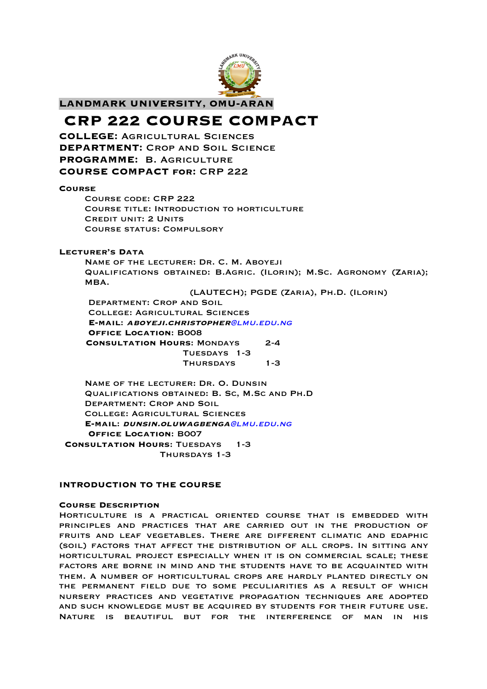

# **LANDMARK UNIVERSITY, OMU-ARAN**

# **CRP 222 COURSE COMPACT**

**COLLEGE:** Agricultural Sciences **DEPARTMENT: CROP AND SOIL SCIENCE PROGRAMME:** B. Agriculture **COURSE COMPACT for:** CRP 222

## **Course**

Course code: CRP 222 Course title: Introduction to horticulture CREDIT UNIT: 2 UNITS Course status: Compulsory

## **Lecturer's Data**

Name of the lecturer: Dr. C. M. Aboyeji Qualifications obtained: B.Agric. (Ilorin); M.Sc. Agronomy (Zaria); MBA.

(LAUTECH); PGDE (Zaria), Ph.D. (Ilorin)

Department: Crop and Soil College: Agricultural Sciences **E-mail**: **aboyeji.christopher**@lmu.edu.ng **Office Location**: B008  **Consultation Hours**: Mondays 2-4 Tuesdays 1-3 Thursdays 1-3

Name of the lecturer: Dr. O. Dunsin Qualifications obtained: B. Sc, M.Sc and Ph.D Department: Crop and Soil College: Agricultural Sciences **E-mail**: **dunsin.oluwagbenga**@lmu.edu.ng **Office Location**: B007 **Consultation Hours**: Tuesdays 1-3 Thursdays 1-3

## **INTRODUCTION TO THE COURSE**

## **Course Description**

Horticulture is a practical oriented course that is embedded with principles and practices that are carried out in the production of fruits and leaf vegetables. There are different climatic and edaphic (soil) factors that affect the distribution of all crops. In sitting any horticultural project especially when it is on commercial scale; these factors are borne in mind and the students have to be acquainted with them. A number of horticultural crops are hardly planted directly on the permanent field due to some peculiarities as a result of which nursery practices and vegetative propagation techniques are adopted and such knowledge must be acquired by students for their future use. Nature is beautiful but for the interference of man in his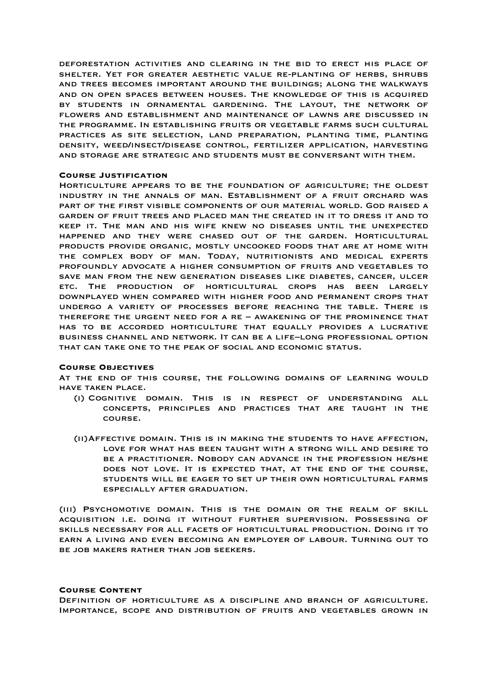deforestation activities and clearing in the bid to erect his place of shelter. Yet for greater aesthetic value re-planting of herbs, shrubs and trees becomes important around the buildings; along the walkways and on open spaces between houses. The knowledge of this is acquired by students in ornamental gardening. The layout, the network of flowers and establishment and maintenance of lawns are discussed in the programme. In establishing fruits or vegetable farms such cultural practices as site selection, land preparation, planting time, planting density, weed/insect/disease control, fertilizer application, harvesting and storage are strategic and students must be conversant with them.

## **Course Justification**

Horticulture appears to be the foundation of agriculture; the oldest industry in the annals of man. Establishment of a fruit orchard was part of the first visible components of our material world. God raised a garden of fruit trees and placed man the created in it to dress it and to keep it. The man and his wife knew no diseases until the unexpected happened and they were chased out of the garden. Horticultural products provide organic, mostly uncooked foods that are at home with the complex body of man. Today, nutritionists and medical experts profoundly advocate a higher consumption of fruits and vegetables to save man from the new generation diseases like diabetes, cancer, ulcer etc. The production of horticultural crops has been largely downplayed when compared with higher food and permanent crops that undergo a variety of processes before reaching the table. There is therefore the urgent need for a re – awakening of the prominence that has to be accorded horticulture that equally provides a lucrative business channel and network. It can be a life–long professional option that can take one to the peak of social and economic status.

#### **Course Objectives**

At the end of this course, the following domains of learning would have taken place.

- (i) Cognitive domain. This is in respect of understanding all concepts, principles and practices that are taught in the course.
- (ii)Affective domain. This is in making the students to have affection, love for what has been taught with a strong will and desire to be a practitioner. Nobody can advance in the profession he/she does not love. It is expected that, at the end of the course, students will be eager to set up their own horticultural farms especially after graduation.

(iii) Psychomotive domain. This is the domain or the realm of skill acquisition i.e. doing it without further supervision. Possessing of skills necessary for all facets of horticultural production. Doing it to earn a living and even becoming an employer of labour. Turning out to be job makers rather than job seekers.

#### **Course Content**

Definition of horticulture as a discipline and branch of agriculture. Importance, scope and distribution of fruits and vegetables grown in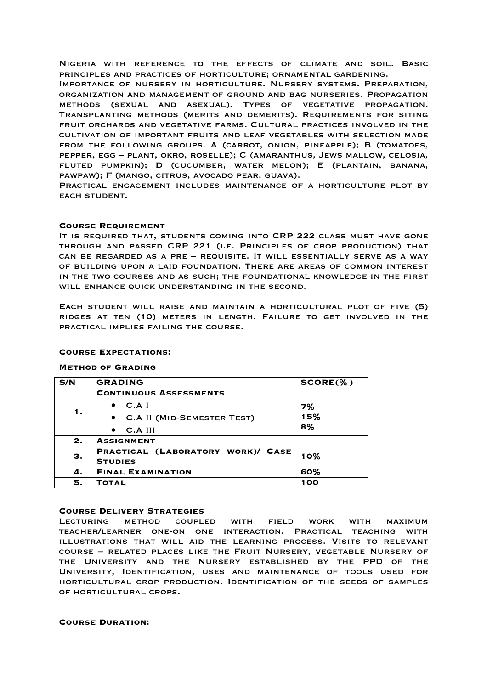Nigeria with reference to the effects of climate and soil. Basic principles and practices of horticulture; ornamental gardening.

Importance of nursery in horticulture. Nursery systems. Preparation, organization and management of ground and bag nurseries. Propagation methods (sexual and asexual). Types of vegetative propagation. Transplanting methods (merits and demerits). Requirements for siting fruit orchards and vegetative farms. Cultural practices involved in the cultivation of important fruits and leaf vegetables with selection made from the following groups. A (carrot, onion, pineapple); B (tomatoes, pepper, egg – plant, okro, roselle); C (amaranthus, Jews mallow, celosia, fluted pumpkin); D (cucumber, water melon); E (plantain, banana, pawpaw); F (mango, citrus, avocado pear, guava).

Practical engagement includes maintenance of a horticulture plot by EACH STUDENT.

## **Course Requirement**

It is required that, students coming into CRP 222 class must have gone through and passed CRP 221 (i.e. Principles of crop production) that can be regarded as a pre – requisite. It will essentially serve as a way of building upon a laid foundation. There are areas of common interest in the two courses and as such; the foundational knowledge in the first will enhance quick understanding in the second.

Each student will raise and maintain a horticultural plot of five (5) ridges at ten (10) meters in length. Failure to get involved in the practical implies failing the course.

## **Course Expectations:**

## **Method of Grading**

| S/N | <b>GRADING</b>                      | $SCORE(\% )$ |
|-----|-------------------------------------|--------------|
| 1.  | <b>CONTINUOUS ASSESSMENTS</b>       |              |
|     | C.A I                               | 7%           |
|     | <b>• C.A II (MID-SEMESTER TEST)</b> | 15%          |
|     | $C.A$ III<br>$\bullet$              | 8%           |
| 2.  | <b>ASSIGNMENT</b>                   |              |
| З.  | PRACTICAL (LABORATORY WORK)/ CASE   | 10%          |
|     | <b>STUDIES</b>                      |              |
| 4.  | <b>FINAL EXAMINATION</b>            | 60%          |
| 5.  | <b>TOTAL</b>                        | 100          |

## **Course Delivery Strategies**

Lecturing method coupled with field work with maximum teacher/learner one-on one interaction. Practical teaching with illustrations that will aid the learning process. Visits to relevant course – related places like the Fruit Nursery, vegetable Nursery of the University and the Nursery established by the PPD of the University, Identification, uses and maintenance of tools used for horticultural crop production. Identification of the seeds of samples of horticultural crops.

**Course Duration:**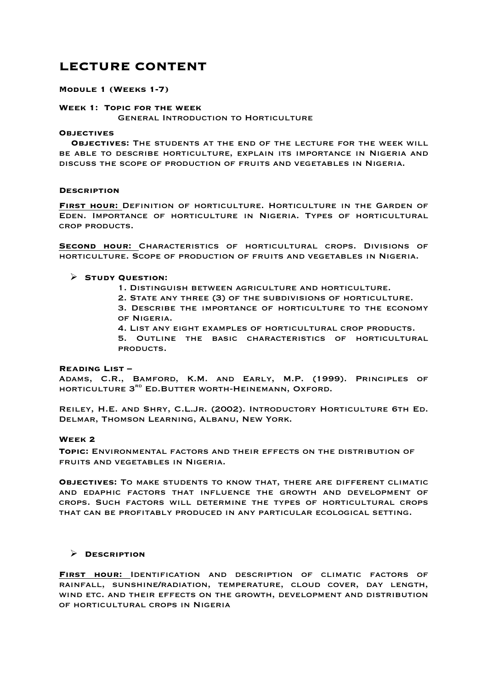# **LECTURE CONTENT**

## **Module 1 (Weeks 1-7)**

## **Week 1: Topic for the week**

General Introduction to Horticulture

## **Objectives**

 **Objectives:** The students at the end of the lecture for the week will be able to describe horticulture, explain its importance in Nigeria and discuss the scope of production of fruits and vegetables in Nigeria.

## **Description**

**First hour:** Definition of horticulture. Horticulture in the Garden of Eden. Importance of horticulture in Nigeria. Types of horticultural crop products.

**Second hour:** Characteristics of horticultural crops. Divisions of horticulture. Scope of production of fruits and vegetables in Nigeria.

## Ø **Study Question:**

- 1. Distinguish between agriculture and horticulture.
- 2. State any three (3) of the subdivisions of horticulture.

3. Describe the importance of horticulture to the economy of Nigeria.

4. List any eight examples of horticultural crop products.

5. Outline the basic characteristics of horticultural products.

## **Reading List –**

Adams, C.R., Bamford, K.M. and Early, M.P. (1999). Principles of HORTICULTURE 3<sup>RD</sup> ED.BUTTER WORTH-HEINEMANN, OXFORD.

Reiley, H.E. and Shry, C.L.Jr. (2002). Introductory Horticulture 6th Ed. Delmar, Thomson Learning, Albanu, New York.

## **Week 2**

**Topic:** Environmental factors and their effects on the distribution of fruits and vegetables in Nigeria.

**Objectives:** To make students to know that, there are different climatic and edaphic factors that influence the growth and development of crops. Such factors will determine the types of horticultural crops that can be profitably produced in any particular ecological setting.

## Ø **Description**

**First hour:** Identification and description of climatic factors of rainfall, sunshine/radiation, temperature, cloud cover, day length, wind etc. and their effects on the growth, development and distribution of horticultural crops in Nigeria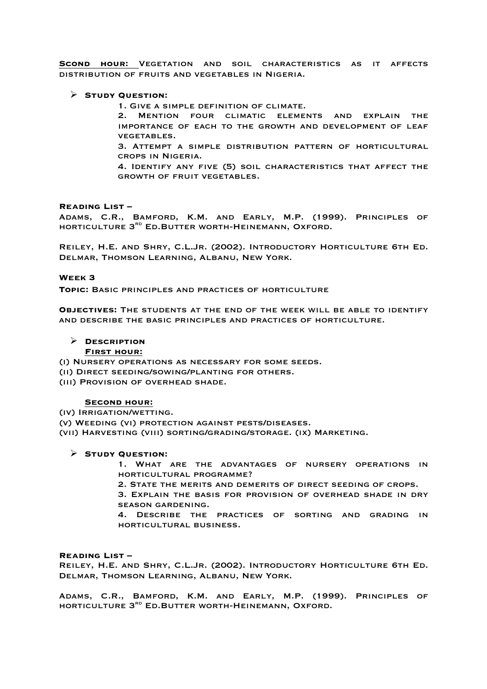**Scond hour:** Vegetation and soil characteristics as it affects distribution of fruits and vegetables in Nigeria.

## Ø **Study Question:**

1. Give a simple definition of climate.

2. Mention four climatic elements and explain the importance of each to the growth and development of leaf vegetables.

3. Attempt a simple distribution pattern of horticultural crops in Nigeria.

4. Identify any five (5) soil characteristics that affect the growth of fruit vegetables.

## **Reading List –**

Adams, C.R., Bamford, K.M. and Early, M.P. (1999). Principles of horticulture 3rd Ed.Butter worth-Heinemann, Oxford.

Reiley, H.E. and Shry, C.L.Jr. (2002). Introductory Horticulture 6th Ed. Delmar, Thomson Learning, Albanu, New York.

## **Week 3**

**Topic:** Basic principles and practices of horticulture

**Objectives:** The students at the end of the week will be able to identify and describe the basic principles and practices of horticulture.

## Ø **Description**

## **First hour:**

(i) Nursery operations as necessary for some seeds.

- (ii) Direct seeding/sowing/planting for others.
- (iii) Provision of overhead shade.

## **Second hour:**

(iv) Irrigation/wetting.

(v) Weeding (vi) protection against pests/diseases.

(vii) Harvesting (viii) sorting/grading/storage. (ix) Marketing.

## Ø **Study Question:**

1. What are the advantages of nursery operations in horticultural programme?

2. State the merits and demerits of direct seeding of crops.

3. Explain the basis for provision of overhead shade in dry season gardening.

4. Describe the practices of sorting and grading in horticultural business.

## **Reading List –**

Reiley, H.E. and Shry, C.L.Jr. (2002). Introductory Horticulture 6th Ed. Delmar, Thomson Learning, Albanu, New York.

Adams, C.R., Bamford, K.M. and Early, M.P. (1999). Principles of horticulture 3rd Ed.Butter worth-Heinemann, Oxford.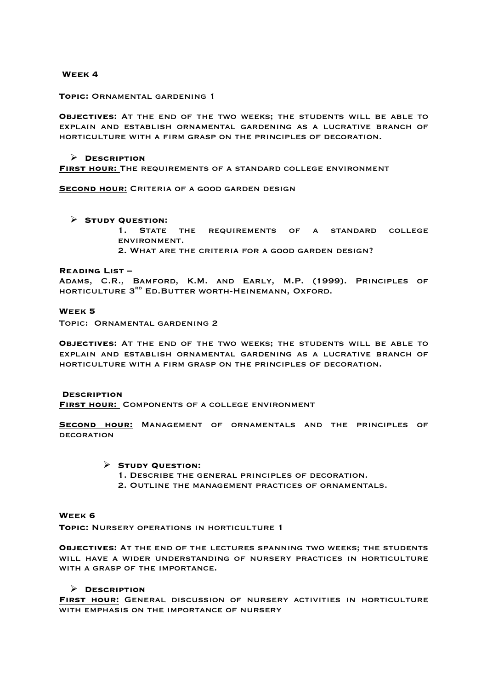## **Week 4**

## **Topic:** Ornamental gardening 1

**Objectives:** At the end of the two weeks; the students will be able to explain and establish ornamental gardening as a lucrative branch of horticulture with a firm grasp on the principles of decoration.

## Ø **Description**

**First hour:** The requirements of a standard college environment

**Second hour:** Criteria of a good garden design

## Ø **Study Question:**

- 1. STATE THE REQUIREMENTS OF A STANDARD COLLEGE environment.
- 2. What are the criteria for a good garden design?

## **Reading List –**

Adams, C.R., Bamford, K.M. and Early, M.P. (1999). Principles of horticulture 3rd Ed.Butter worth-Heinemann, Oxford.

## **Week 5**

Topic: Ornamental gardening 2

**Objectives:** At the end of the two weeks; the students will be able to explain and establish ornamental gardening as a lucrative branch of horticulture with a firm grasp on the principles of decoration.

## **Description**

**First hour:** Components of a college environment

**Second hour:** Management of ornamentals and the principles of **DECORATION** 

## Ø **Study Question:**

- 1. Describe the general principles of decoration.
- 2. Outline the management practices of ornamentals.

## **Week 6**

**Topic:** Nursery operations in horticulture 1

**Objectives:** At the end of the lectures spanning two weeks; the students will have a wider understanding of nursery practices in horticulture with a grasp of the importance.

# Ø **Description**

**First hour:** General discussion of nursery activities in horticulture with emphasis on the importance of nursery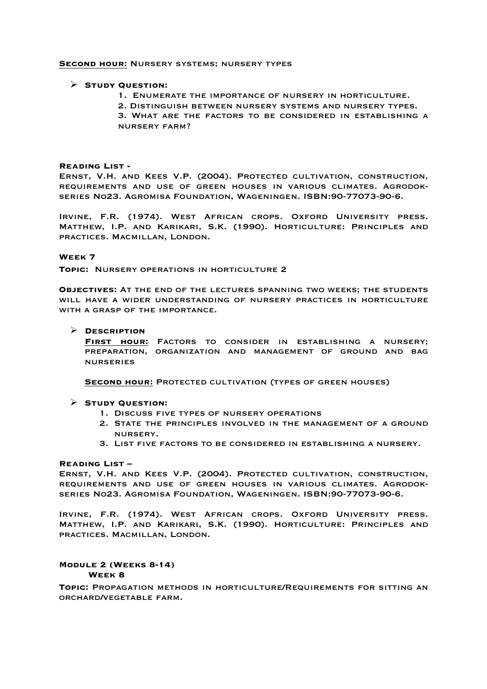## **Second hour:** Nursery systems; nursery types

## Ø **Study Question:**

- 1. Enumerate the importance of nursery in horticulture.
- 2. Distinguish between nursery systems and nursery types.

3. What are the factors to be considered in establishing a nursery farm?

## **Reading List -**

Ernst, V.H. and Kees V.P. (2004). Protected cultivation, construction, requirements and use of green houses in various climates. Agrodokseries No23. Agromisa Foundation, Wageningen. ISBN:90-77073-90-6.

Irvine, F.R. (1974). West African crops. Oxford University press. Matthew, I.P. and Karikari, S.K. (1990). Horticulture: Principles and practices. Macmillan, London.

## **Week 7**

**TOPIC: NURSERY OPERATIONS IN HORTICULTURE 2** 

**Objectives:** At the end of the lectures spanning two weeks; the students will have a wider understanding of nursery practices in horticulture WITH A GRASP OF THE IMPORTANCE.

## Ø **Description**

**First hour:** Factors to consider in establishing a nursery; preparation, organization and management of ground and bag nurseries

**Second hour:** Protected cultivation (types of green houses)

## Ø **Study Question:**

- 1. Discuss five types of nursery operations
- 2. State the principles involved in the management of a ground nursery.
- 3. List five factors to be considered in establishing a nursery.

## **Reading List –**

Ernst, V.H. and Kees V.P. (2004). Protected cultivation, construction, requirements and use of green houses in various climates. Agrodokseries No23. Agromisa Foundation, Wageningen. ISBN:90-77073-90-6.

Irvine, F.R. (1974). West African crops. Oxford University press. Matthew, I.P. and Karikari, S.K. (1990). Horticulture: Principles and practices. Macmillan, London.

## **Module 2 (Weeks 8-14)**

**Week 8**

**Topic:** Propagation methods in horticulture/Requirements for sitting an orchard/vegetable farm.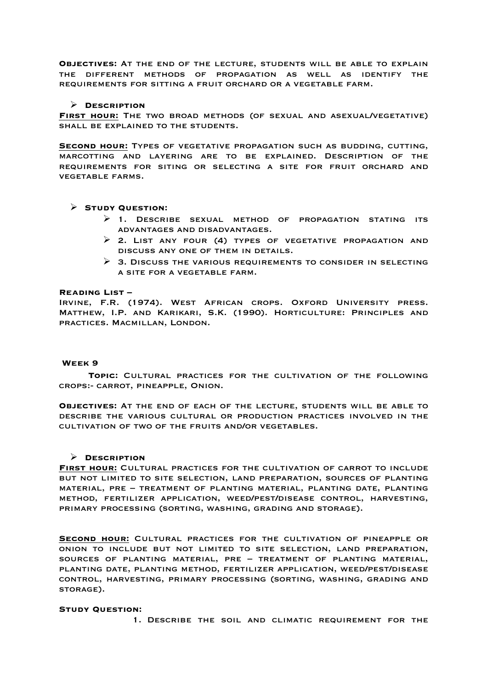**Objectives:** At the end of the lecture, students will be able to explain the different methods of propagation as well as identify the requirements for sitting a fruit orchard or a vegetable farm.

## Ø **Description**

**First hour:** The two broad methods (of sexual and asexual/vegetative) shall be explained to the students.

**Second hour:** Types of vegetative propagation such as budding, cutting, marcotting and layering are to be explained. Description of the requirements for siting or selecting a site for fruit orchard and vegetable farms.

# Ø **Study Question:**

- $\triangleright$  1. DESCRIBE SEXUAL METHOD OF PROPAGATION STATING ITS advantages and disadvantages.
- $\triangleright$  2. List any four (4) types of vegetative propagation and discuss any one of them in details.
- $\triangleright$  3. Discuss the various requirements to consider in selecting a site for a vegetable farm.

## **Reading List –**

Irvine, F.R. (1974). West African crops. Oxford University press. Matthew, I.P. and Karikari, S.K. (1990). Horticulture: Principles and practices. Macmillan, London.

## **Week 9**

**Topic:** Cultural practices for the cultivation of the following crops:- carrot, pineapple, Onion.

**Objectives:** At the end of each of the lecture, students will be able to describe the various cultural or production practices involved in the cultivation of two of the fruits and/or vegetables.

## Ø **Description**

**First hour:** Cultural practices for the cultivation of carrot to include but not limited to site selection, land preparation, sources of planting material, pre – treatment of planting material, planting date, planting method, fertilizer application, weed/pest/disease control, harvesting, primary processing (sorting, washing, grading and storage).

**Second hour:** Cultural practices for the cultivation of pineapple or onion to include but not limited to site selection, land preparation, sources of planting material, pre – treatment of planting material, planting date, planting method, fertilizer application, weed/pest/disease control, harvesting, primary processing (sorting, washing, grading and STORAGE).

## **Study Question:**

1. Describe the soil and climatic requirement for the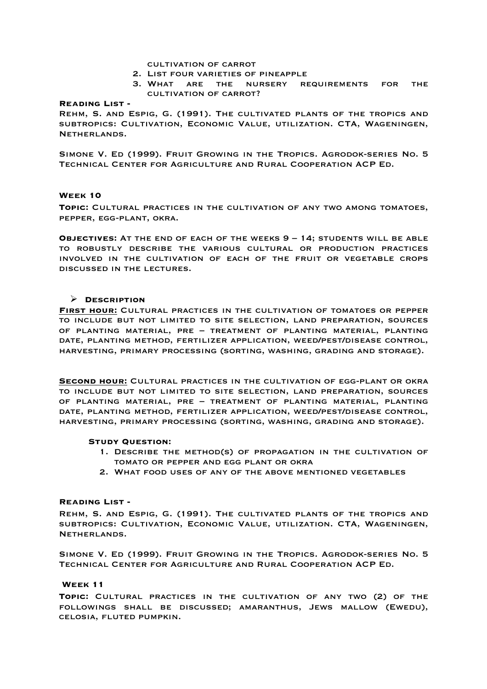## cultivation of carrot

- 2. List four varieties of pineapple
- 3. What are the nursery requirements for the cultivation of carrot?

## **Reading List -**

Rehm, S. and Espig, G. (1991). The cultivated plants of the tropics and subtropics: Cultivation, Economic Value, utilization. CTA, Wageningen, Netherlands.

Simone V. Ed (1999). Fruit Growing in the Tropics. Agrodok-series No. 5 Technical Center for Agriculture and Rural Cooperation ACP Ed.

## **Week 10**

**Topic:** Cultural practices in the cultivation of any two among tomatoes, pepper, egg-plant, okra.

**Objectives:** At the end of each of the weeks 9 – 14; students will be able to robustly describe the various cultural or production practices involved in the cultivation of each of the fruit or vegetable crops discussed in the lectures.

## Ø **Description**

**First hour:** Cultural practices in the cultivation of tomatoes or pepper to include but not limited to site selection, land preparation, sources of planting material, pre – treatment of planting material, planting date, planting method, fertilizer application, weed/pest/disease control, harvesting, primary processing (sorting, washing, grading and storage).

**Second hour:** Cultural practices in the cultivation of egg-plant or okra to include but not limited to site selection, land preparation, sources of planting material, pre – treatment of planting material, planting date, planting method, fertilizer application, weed/pest/disease control, harvesting, primary processing (sorting, washing, grading and storage).

## **Study Question:**

- 1. Describe the method(s) of propagation in the cultivation of tomato or pepper and egg plant or okra
- 2. What food uses of any of the above mentioned vegetables

## **Reading List -**

Rehm, S. and Espig, G. (1991). The cultivated plants of the tropics and subtropics: Cultivation, Economic Value, utilization. CTA, Wageningen, Netherlands.

Simone V. Ed (1999). Fruit Growing in the Tropics. Agrodok-series No. 5 Technical Center for Agriculture and Rural Cooperation ACP Ed.

## **Week 11**

**Topic:** Cultural practices in the cultivation of any two (2) of the followings shall be discussed; amaranthus, Jews mallow (Ewedu), celosia, fluted pumpkin.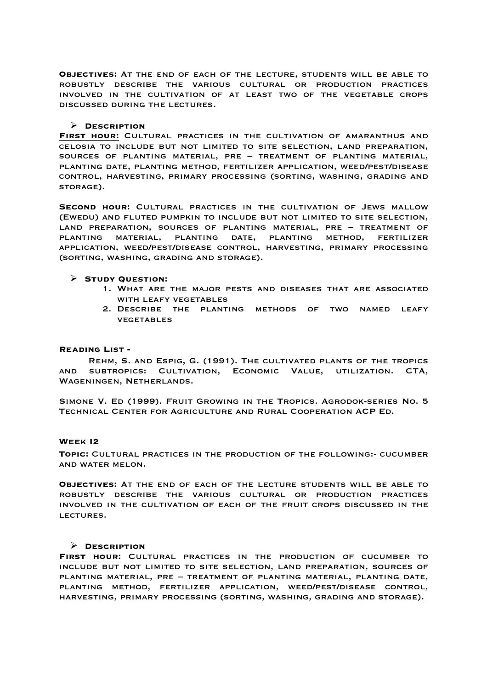**Objectives:** At the end of each of the lecture, students will be able to robustly describe the various cultural or production practices involved in the cultivation of at least two of the vegetable crops discussed during the lectures.

## Ø **Description**

**First hour:** Cultural practices in the cultivation of amaranthus and celosia to include but not limited to site selection, land preparation, sources of planting material, pre – treatment of planting material, planting date, planting method, fertilizer application, weed/pest/disease control, harvesting, primary processing (sorting, washing, grading and STORAGE).

**Second hour:** Cultural practices in the cultivation of Jews mallow (Ewedu) and fluted pumpkin to include but not limited to site selection, land preparation, sources of planting material, pre – treatment of planting material, planting date, planting method, fertilizer application, weed/pest/disease control, harvesting, primary processing (sorting, washing, grading and storage).

## Ø **Study Question:**

- 1. What are the major pests and diseases that are associated with leafy vegetables
- 2. Describe the planting methods of two named leafy **VEGETABLES**

## **Reading List -**

Rehm, S. and Espig, G. (1991). The cultivated plants of the tropics and subtropics: Cultivation, Economic Value, utilization. CTA, Wageningen, Netherlands.

Simone V. Ed (1999). Fruit Growing in the Tropics. Agrodok-series No. 5 Technical Center for Agriculture and Rural Cooperation ACP Ed.

## **Week I2**

**Topic:** Cultural practices in the production of the following:- cucumber and water melon.

**Objectives:** At the end of each of the lecture students will be able to robustly describe the various cultural or production practices involved in the cultivation of each of the fruit crops discussed in the lectures.

## Ø **Description**

**First hour:** Cultural practices in the production of cucumber to include but not limited to site selection, land preparation, sources of planting material, pre – treatment of planting material, planting date, planting method, fertilizer application, weed/pest/disease control, harvesting, primary processing (sorting, washing, grading and storage).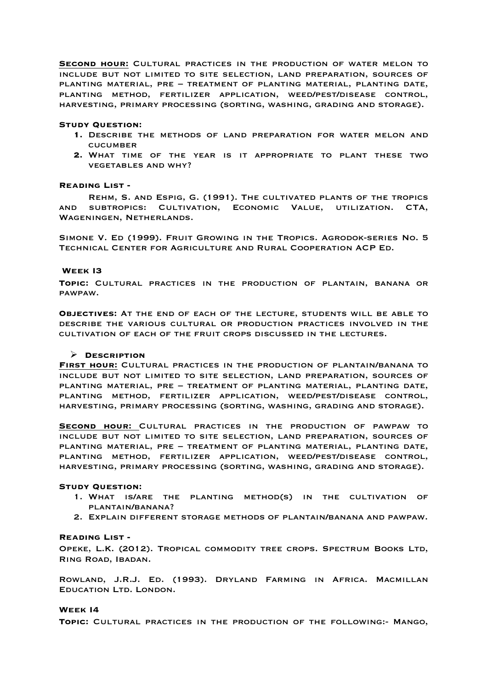**Second hour:** Cultural practices in the production of water melon to include but not limited to site selection, land preparation, sources of planting material, pre – treatment of planting material, planting date, planting method, fertilizer application, weed/pest/disease control, harvesting, primary processing (sorting, washing, grading and storage).

#### **Study Question:**

- **1.** Describe the methods of land preparation for water melon and **CUCUMBER**
- **2.** What time of the year is it appropriate to plant these two vegetables and why?

#### **Reading List -**

Rehm, S. and Espig, G. (1991). The cultivated plants of the tropics and subtropics: Cultivation, Economic Value, utilization. CTA, Wageningen, Netherlands.

Simone V. Ed (1999). Fruit Growing in the Tropics. Agrodok-series No. 5 Technical Center for Agriculture and Rural Cooperation ACP Ed.

#### **Week I3**

**Topic:** Cultural practices in the production of plantain, banana or pawpaw.

**Objectives:** At the end of each of the lecture, students will be able to describe the various cultural or production practices involved in the cultivation of each of the fruit crops discussed in the lectures.

## Ø **Description**

**First hour:** Cultural practices in the production of plantain/banana to include but not limited to site selection, land preparation, sources of planting material, pre – treatment of planting material, planting date, planting method, fertilizer application, weed/pest/disease control, harvesting, primary processing (sorting, washing, grading and storage).

**Second hour:** Cultural practices in the production of pawpaw to include but not limited to site selection, land preparation, sources of planting material, pre – treatment of planting material, planting date, planting method, fertilizer application, weed/pest/disease control, harvesting, primary processing (sorting, washing, grading and storage).

## **Study Question:**

- 1. What is/are the planting method(s) in the cultivation of plantain/banana?
- 2. Explain different storage methods of plantain/banana and pawpaw.

#### **Reading List -**

OPEKE, L.K. (2012). TROPICAL COMMODITY TREE CROPS. SPECTRUM BOOKS LTD, Ring Road, Ibadan.

Rowland, J.R.J. Ed. (1993). Dryland Farming in Africa. Macmillan Education Ltd. London.

#### **Week I4**

**Topic:** Cultural practices in the production of the following:- Mango,